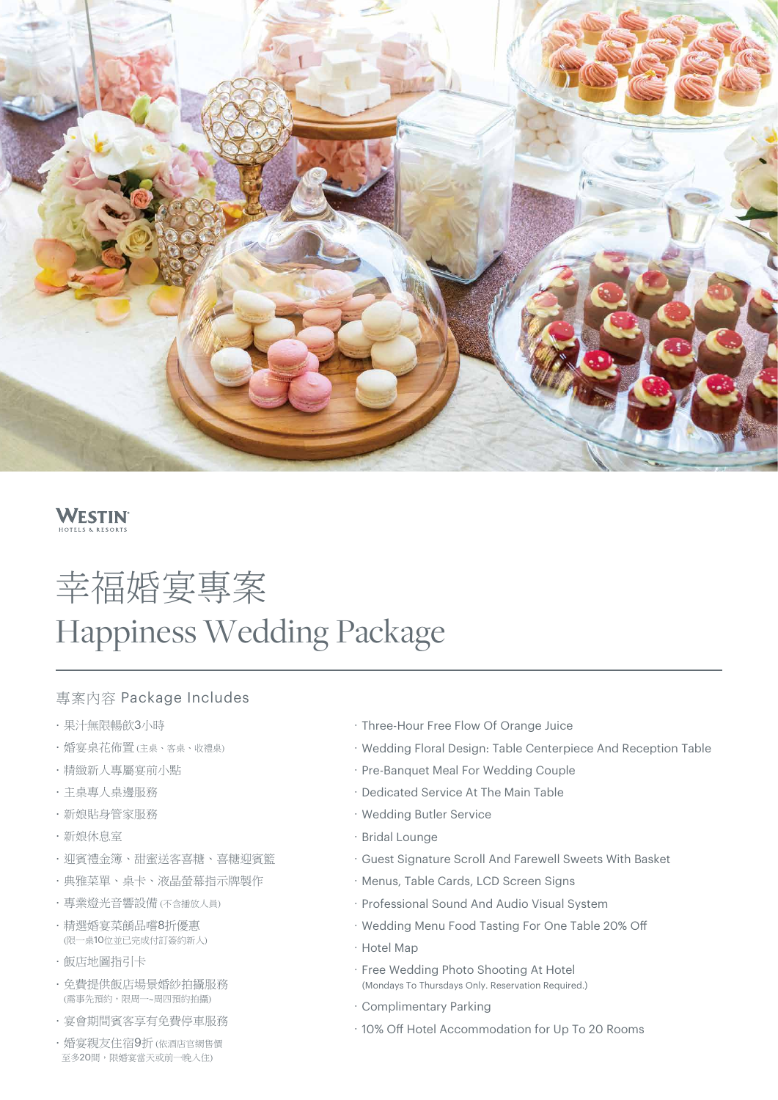

## **WESTIN**

# 幸福婚宴專案 Happiness Wedding Package

#### 專案內容 Package Includes

- .果汁無限暢飲3小時
- .婚宴桌花佈置 (主桌、客桌、收禮桌)
- .精緻新人專屬宴前小點
- .主桌專人桌邊服務
- .新娘貼身管家服務
- .新娘休息室
- .迎賓禮金簿、甜蜜送客喜糖、喜糖迎賓籃
- .典雅菜單、桌卡、液晶螢幕指示牌製作
- .專業燈光音響設備 (不含播放人員)
- .精選婚宴菜餚品嚐8折優惠 (限一桌10位並已完成付訂簽約新人)
- .飯店地圖指引卡
- .免費提供飯店場景婚紗拍攝服務 (需事先預約,限周一~周四預約拍攝)
- .宴會期間賓客享有免費停車服務
- ·婚宴親友住宿9折 (依酒店官網售價 至多20間,限婚宴當天或前一晚入住)
- .Three-Hour Free Flow Of Orange Juice
- .Wedding Floral Design: Table Centerpiece And Reception Table
- . Pre-Banquet Meal For Wedding Couple
- .Dedicated Service At The Main Table
- .Wedding Butler Service
- · Bridal Lounge
- .Guest Signature Scroll And Farewell Sweets With Basket
- . Menus, Table Cards, LCD Screen Signs
- .Professional Sound And Audio Visual System
- . Wedding Menu Food Tasting For One Table 20% Off
- .Hotel Map
- .Free Wedding Photo Shooting At Hotel
- (Mondays To Thursdays Only. Reservation Required.)
- .Complimentary Parking
- . 10% Off Hotel Accommodation for Up To 20 Rooms